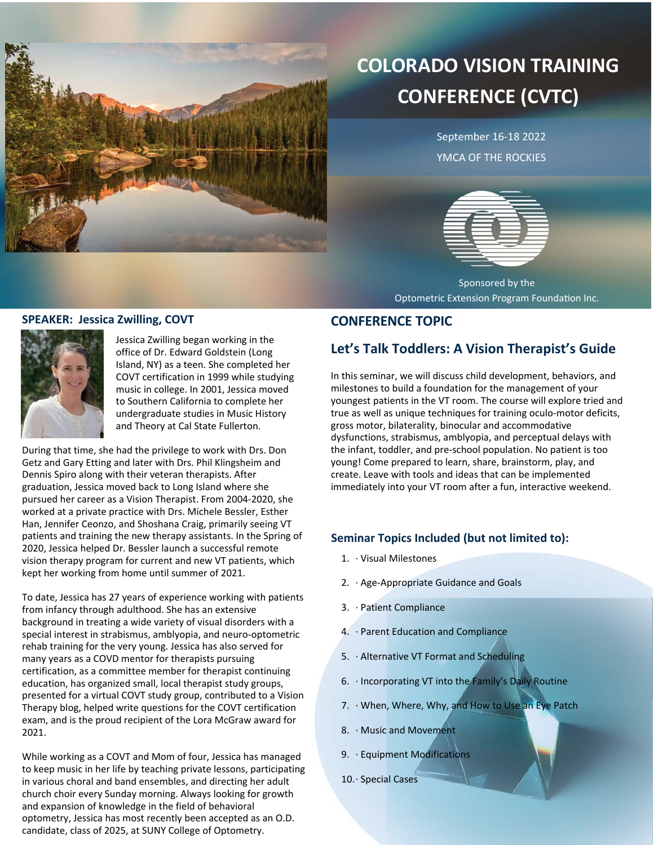

# **COLORADO VISION TRAINING CONFERENCE (CVTC)**

September 16-18 2022 YMCA OF THE ROCKIES



Sponsored by the Optometric Extension Program Foundation Inc.

### **SPEAKER: Jessica Zwilling, COVT**



Jessica Zwilling began working in the office of Dr. Edward Goldstein (Long Island, NY) as a teen. She completed her COVT certification in 1999 while studying music in college. In 2001, Jessica moved to Southern California to complete her undergraduate studies in Music History and Theory at Cal State Fullerton.

During that time, she had the privilege to work with Drs. Don Getz and Gary Etting and later with Drs. Phil Klingsheim and Dennis Spiro along with their veteran therapists. After graduation, Jessica moved back to Long Island where she pursued her career as a Vision Therapist. From 2004-2020, she worked at a private practice with Drs. Michele Bessler, Esther Han, Jennifer Ceonzo, and Shoshana Craig, primarily seeing VT patients and training the new therapy assistants. In the Spring of 2020, Jessica helped Dr. Bessler launch a successful remote vision therapy program for current and new VT patients, which kept her working from home until summer of 2021.

To date, Jessica has 27 years of experience working with patients from infancy through adulthood. She has an extensive background in treating a wide variety of visual disorders with a special interest in strabismus, amblyopia, and neuro-optometric rehab training for the very young. Jessica has also served for many years as a COVD mentor for therapists pursuing certification, as a committee member for therapist continuing education, has organized small, local therapist study groups, presented for a virtual COVT study group, contributed to a Vision Therapy blog, helped write questions for the COVT certification exam, and is the proud recipient of the Lora McGraw award for 2021.

While working as a COVT and Mom of four, Jessica has managed to keep music in her life by teaching private lessons, participating in various choral and band ensembles, and directing her adult church choir every Sunday morning. Always looking for growth and expansion of knowledge in the field of behavioral optometry, Jessica has most recently been accepted as an O.D. candidate, class of 2025, at SUNY College of Optometry.

### **CONFERENCE TOPIC**

## **Let's Talk Toddlers: A Vision Therapist's Guide**

In this seminar, we will discuss child development, behaviors, and milestones to build a foundation for the management of your youngest patients in the VT room. The course will explore tried and true as well as unique techniques for training oculo-motor deficits, gross motor, bilaterality, binocular and accommodative dysfunctions, strabismus, amblyopia, and perceptual delays with the infant, toddler, and pre-school population. No patient is too young! Come prepared to learn, share, brainstorm, play, and create. Leave with tools and ideas that can be implemented immediately into your VT room after a fun, interactive weekend.

### **Seminar Topics Included (but not limited to):**

- 1. · Visual Milestones
- 2. · Age-Appropriate Guidance and Goals
- 3. · Patient Compliance
- 4. · Parent Education and Compliance
- 5. · Alternative VT Format and Scheduling
- 6. · Incorporating VT into the Family's Daily Routine
- 7. · When, Where, Why, and How to Use an Eye Patch
- 8. · Music and Movement
- 9. · Equipment Modifications
- 10.· Special Cases